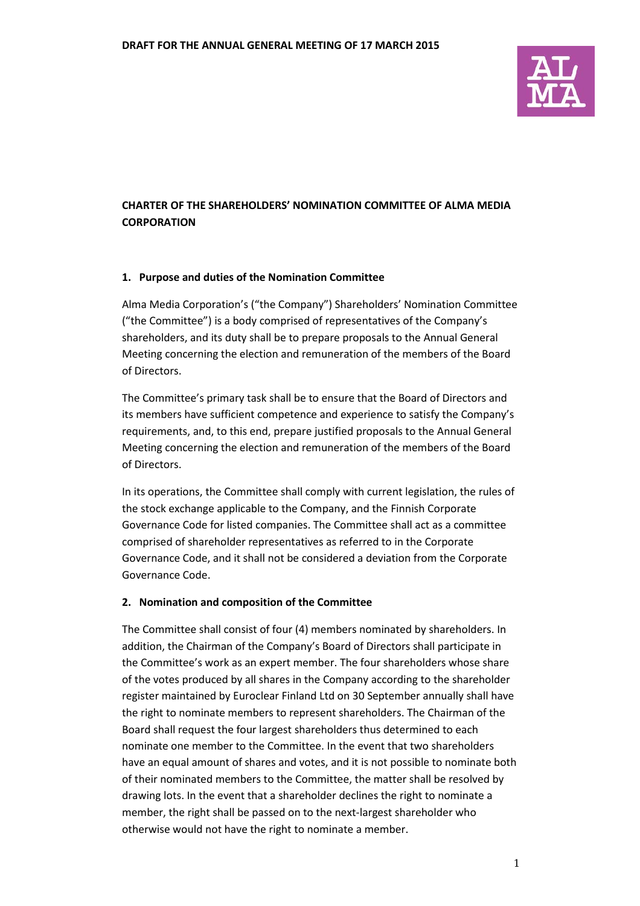

# **CHARTER OF THE SHAREHOLDERS' NOMINATION COMMITTEE OF ALMA MEDIA CORPORATION**

### **1. Purpose and duties of the Nomination Committee**

Alma Media Corporation's ("the Company") Shareholders' Nomination Committee ("the Committee") is a body comprised of representatives of the Company's shareholders, and its duty shall be to prepare proposals to the Annual General Meeting concerning the election and remuneration of the members of the Board of Directors.

The Committee's primary task shall be to ensure that the Board of Directors and its members have sufficient competence and experience to satisfy the Company's requirements, and, to this end, prepare justified proposals to the Annual General Meeting concerning the election and remuneration of the members of the Board of Directors.

In its operations, the Committee shall comply with current legislation, the rules of the stock exchange applicable to the Company, and the Finnish Corporate Governance Code for listed companies. The Committee shall act as a committee comprised of shareholder representatives as referred to in the Corporate Governance Code, and it shall not be considered a deviation from the Corporate Governance Code.

### **2. Nomination and composition of the Committee**

The Committee shall consist of four (4) members nominated by shareholders. In addition, the Chairman of the Company's Board of Directors shall participate in the Committee's work as an expert member. The four shareholders whose share of the votes produced by all shares in the Company according to the shareholder register maintained by Euroclear Finland Ltd on 30 September annually shall have the right to nominate members to represent shareholders. The Chairman of the Board shall request the four largest shareholders thus determined to each nominate one member to the Committee. In the event that two shareholders have an equal amount of shares and votes, and it is not possible to nominate both of their nominated members to the Committee, the matter shall be resolved by drawing lots. In the event that a shareholder declines the right to nominate a member, the right shall be passed on to the next-largest shareholder who otherwise would not have the right to nominate a member.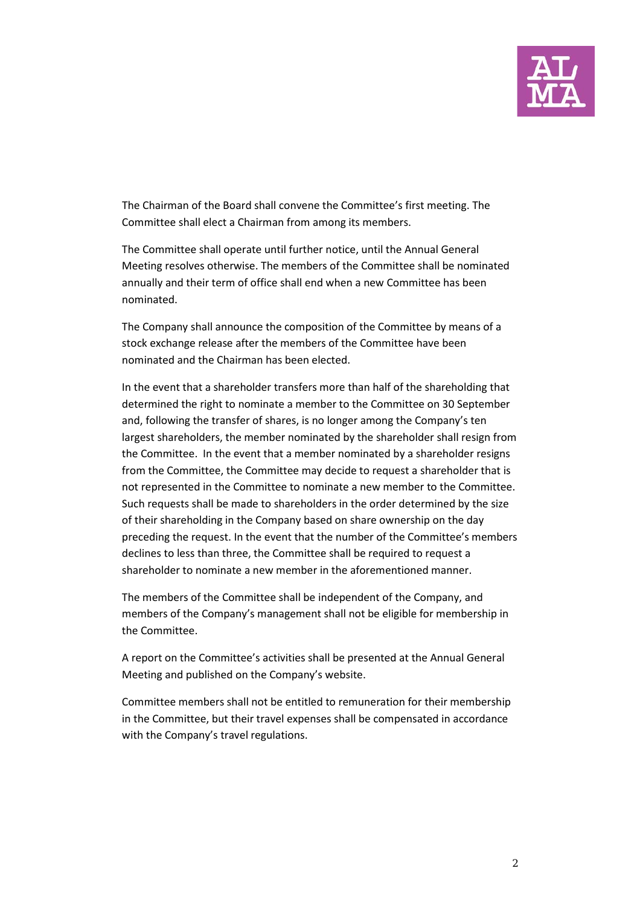

The Chairman of the Board shall convene the Committee's first meeting. The Committee shall elect a Chairman from among its members.

The Committee shall operate until further notice, until the Annual General Meeting resolves otherwise. The members of the Committee shall be nominated annually and their term of office shall end when a new Committee has been nominated.

The Company shall announce the composition of the Committee by means of a stock exchange release after the members of the Committee have been nominated and the Chairman has been elected.

In the event that a shareholder transfers more than half of the shareholding that determined the right to nominate a member to the Committee on 30 September and, following the transfer of shares, is no longer among the Company's ten largest shareholders, the member nominated by the shareholder shall resign from the Committee. In the event that a member nominated by a shareholder resigns from the Committee, the Committee may decide to request a shareholder that is not represented in the Committee to nominate a new member to the Committee. Such requests shall be made to shareholders in the order determined by the size of their shareholding in the Company based on share ownership on the day preceding the request. In the event that the number of the Committee's members declines to less than three, the Committee shall be required to request a shareholder to nominate a new member in the aforementioned manner.

The members of the Committee shall be independent of the Company, and members of the Company's management shall not be eligible for membership in the Committee.

A report on the Committee's activities shall be presented at the Annual General Meeting and published on the Company's website.

Committee members shall not be entitled to remuneration for their membership in the Committee, but their travel expenses shall be compensated in accordance with the Company's travel regulations.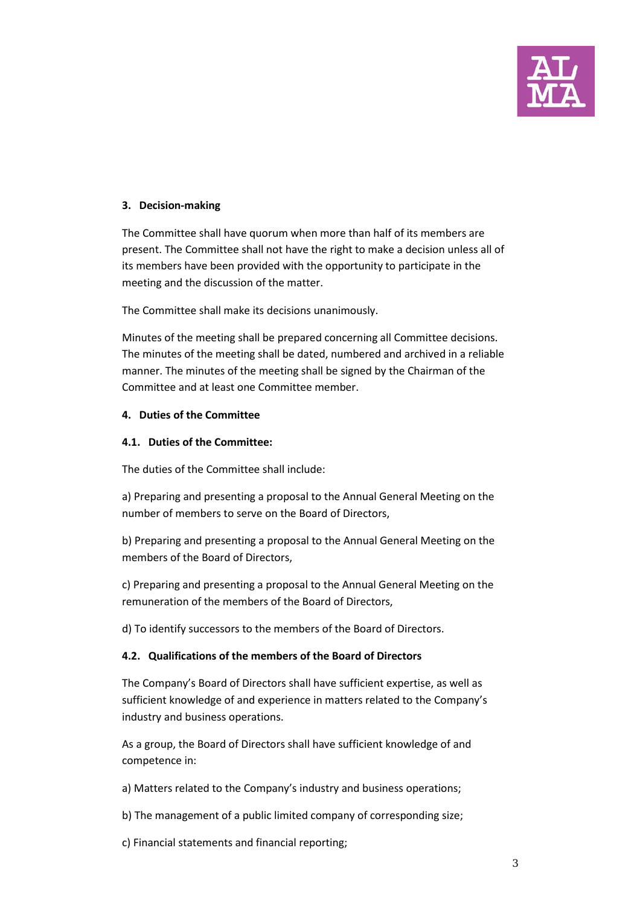

### **3. Decision-making**

The Committee shall have quorum when more than half of its members are present. The Committee shall not have the right to make a decision unless all of its members have been provided with the opportunity to participate in the meeting and the discussion of the matter.

The Committee shall make its decisions unanimously.

Minutes of the meeting shall be prepared concerning all Committee decisions. The minutes of the meeting shall be dated, numbered and archived in a reliable manner. The minutes of the meeting shall be signed by the Chairman of the Committee and at least one Committee member.

### **4. Duties of the Committee**

### **4.1. Duties of the Committee:**

The duties of the Committee shall include:

a) Preparing and presenting a proposal to the Annual General Meeting on the number of members to serve on the Board of Directors,

b) Preparing and presenting a proposal to the Annual General Meeting on the members of the Board of Directors,

c) Preparing and presenting a proposal to the Annual General Meeting on the remuneration of the members of the Board of Directors,

d) To identify successors to the members of the Board of Directors.

## **4.2. Qualifications of the members of the Board of Directors**

The Company's Board of Directors shall have sufficient expertise, as well as sufficient knowledge of and experience in matters related to the Company's industry and business operations.

As a group, the Board of Directors shall have sufficient knowledge of and competence in:

a) Matters related to the Company's industry and business operations;

b) The management of a public limited company of corresponding size;

c) Financial statements and financial reporting;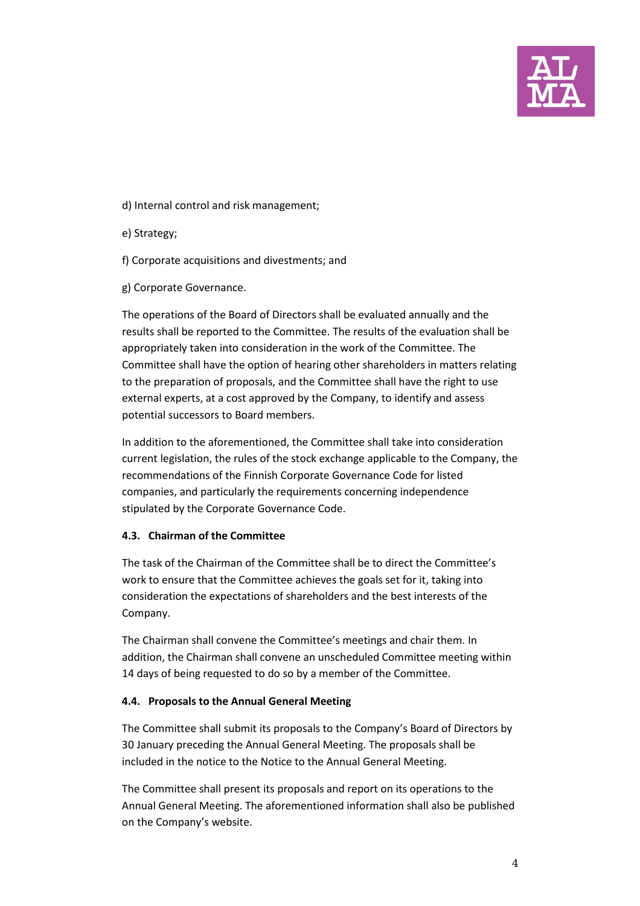

- d) Internal control and risk management;
- e) Strategy;
- f) Corporate acquisitions and divestments; and
- g) Corporate Governance.

The operations of the Board of Directors shall be evaluated annually and the results shall be reported to the Committee. The results of the evaluation shall be appropriately taken into consideration in the work of the Committee. The Committee shall have the option of hearing other shareholders in matters relating to the preparation of proposals, and the Committee shall have the right to use external experts, at a cost approved by the Company, to identify and assess potential successors to Board members.

In addition to the aforementioned, the Committee shall take into consideration current legislation, the rules of the stock exchange applicable to the Company, the recommendations of the Finnish Corporate Governance Code for listed companies, and particularly the requirements concerning independence stipulated by the Corporate Governance Code.

### **4.3. Chairman of the Committee**

The task of the Chairman of the Committee shall be to direct the Committee's work to ensure that the Committee achieves the goals set for it, taking into consideration the expectations of shareholders and the best interests of the Company.

The Chairman shall convene the Committee's meetings and chair them. In addition, the Chairman shall convene an unscheduled Committee meeting within 14 days of being requested to do so by a member of the Committee.

### **4.4. Proposals to the Annual General Meeting**

The Committee shall submit its proposals to the Company's Board of Directors by 30 January preceding the Annual General Meeting. The proposals shall be included in the notice to the Notice to the Annual General Meeting.

The Committee shall present its proposals and report on its operations to the Annual General Meeting. The aforementioned information shall also be published on the Company's website.